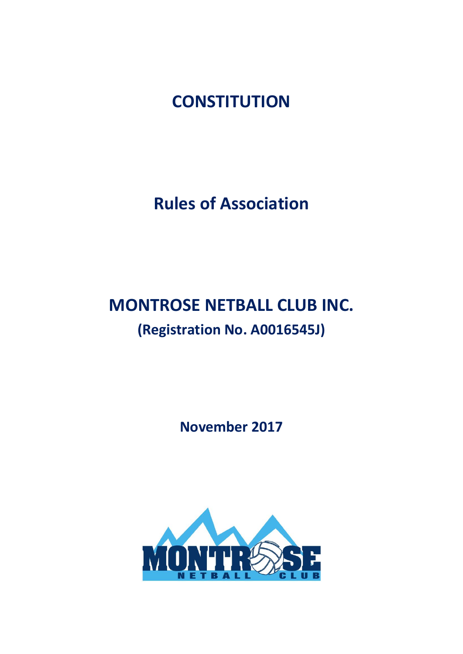**CONSTITUTION**

**Rules of Association**

# **MONTROSE NETBALL CLUB INC. (Registration No. A0016545J)**

**November 2017**

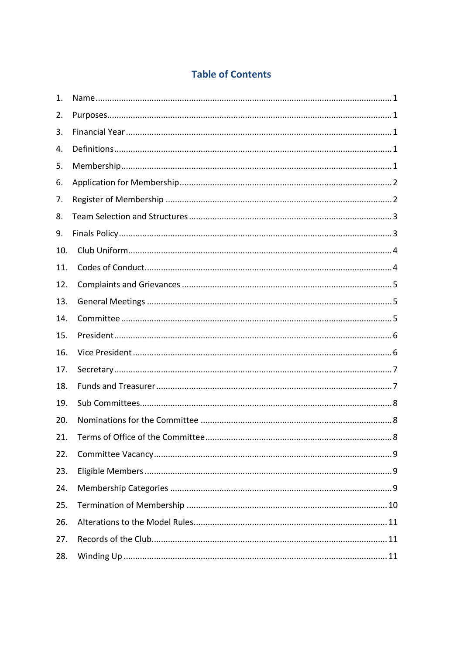# **Table of Contents**

| 1.  |  |
|-----|--|
| 2.  |  |
| 3.  |  |
| 4.  |  |
| 5.  |  |
| 6.  |  |
| 7.  |  |
| 8.  |  |
| 9.  |  |
| 10. |  |
| 11. |  |
| 12. |  |
| 13. |  |
| 14. |  |
| 15. |  |
| 16. |  |
| 17. |  |
| 18. |  |
| 19. |  |
| 20. |  |
| 21. |  |
| 22. |  |
| 23. |  |
| 24. |  |
| 25. |  |
| 26. |  |
| 27. |  |
| 28. |  |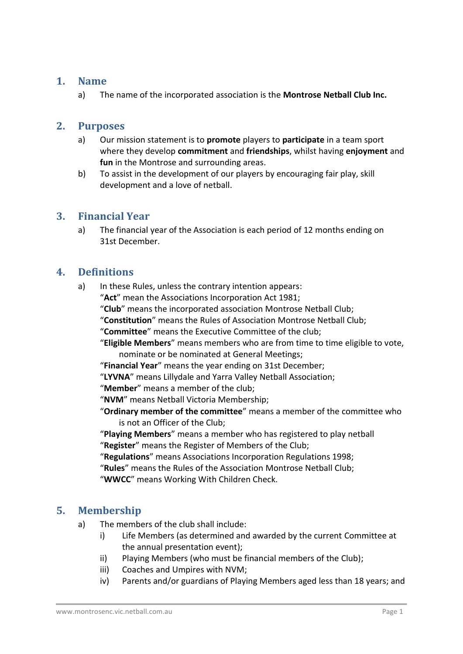#### **1. Name**

a) The name of the incorporated association is the **Montrose Netball Club Inc.**

#### **2. Purposes**

- a) Our mission statement is to **promote** players to **participate** in a team sport where they develop **commitment** and **friendships**, whilst having **enjoyment** and **fun** in the Montrose and surrounding areas.
- b) To assist in the development of our players by encouraging fair play, skill development and a love of netball.

## **3. Financial Year**

a) The financial year of the Association is each period of 12 months ending on 31st December.

## **4. Definitions**

a) In these Rules, unless the contrary intention appears:

"**Act**" mean the Associations Incorporation Act 1981;

- "**Club**" means the incorporated association Montrose Netball Club;
- "**Constitution**" means the Rules of Association Montrose Netball Club;

"**Committee**" means the Executive Committee of the club;

"**Eligible Members**" means members who are from time to time eligible to vote, nominate or be nominated at General Meetings;

"**Financial Year**" means the year ending on 31st December;

"**LYVNA**" means Lillydale and Yarra Valley Netball Association;

"**Member**" means a member of the club;

"**NVM**" means Netball Victoria Membership;

"**Ordinary member of the committee**" means a member of the committee who is not an Officer of the Club;

"**Playing Members**" means a member who has registered to play netball "**Register**" means the Register of Members of the Club;

"**Regulations**" means Associations Incorporation Regulations 1998;

"**Rules**" means the Rules of the Association Montrose Netball Club;

"**WWCC**" means Working With Children Check.

## **5. Membership**

- a) The members of the club shall include:
	- i) Life Members (as determined and awarded by the current Committee at the annual presentation event);
	- ii) Playing Members (who must be financial members of the Club);
	- iii) Coaches and Umpires with NVM;
	- iv) Parents and/or guardians of Playing Members aged less than 18 years; and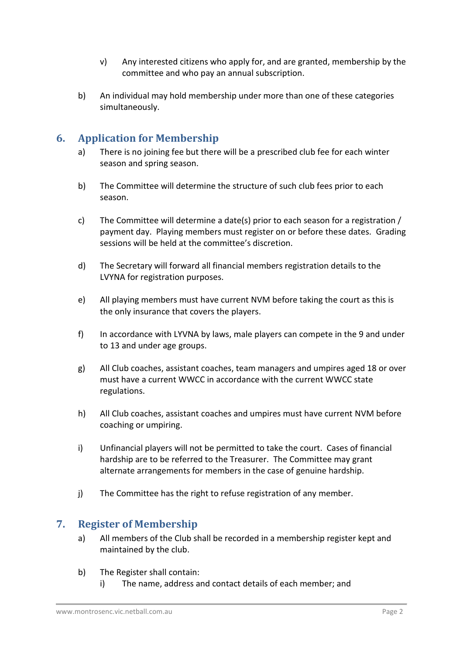- v) Any interested citizens who apply for, and are granted, membership by the committee and who pay an annual subscription.
- b) An individual may hold membership under more than one of these categories simultaneously.

# **6. Application for Membership**

- a) There is no joining fee but there will be a prescribed club fee for each winter season and spring season.
- b) The Committee will determine the structure of such club fees prior to each season.
- c) The Committee will determine a date(s) prior to each season for a registration / payment day. Playing members must register on or before these dates. Grading sessions will be held at the committee's discretion.
- d) The Secretary will forward all financial members registration details to the LVYNA for registration purposes.
- e) All playing members must have current NVM before taking the court as this is the only insurance that covers the players.
- f) In accordance with LYVNA by laws, male players can compete in the 9 and under to 13 and under age groups.
- g) All Club coaches, assistant coaches, team managers and umpires aged 18 or over must have a current WWCC in accordance with the current WWCC state regulations.
- h) All Club coaches, assistant coaches and umpires must have current NVM before coaching or umpiring.
- i) Unfinancial players will not be permitted to take the court. Cases of financial hardship are to be referred to the Treasurer. The Committee may grant alternate arrangements for members in the case of genuine hardship.
- j) The Committee has the right to refuse registration of any member.

## **7. Register of Membership**

- a) All members of the Club shall be recorded in a membership register kept and maintained by the club.
- b) The Register shall contain:
	- i) The name, address and contact details of each member; and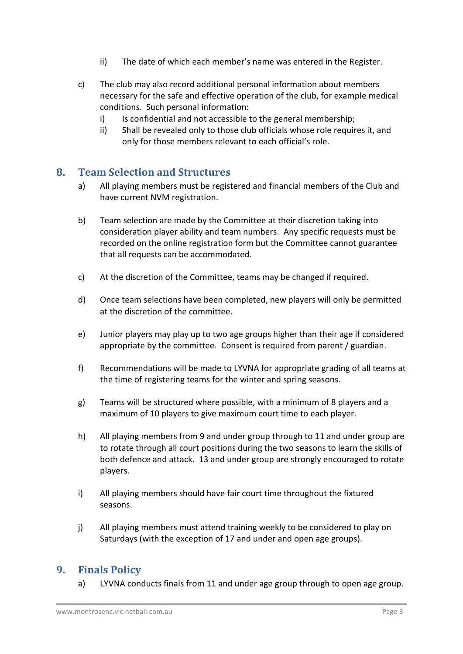- ii) The date of which each member's name was entered in the Register.
- c) The club may also record additional personal information about members necessary for the safe and effective operation of the club, for example medical conditions. Such personal information:
	- i) Is confidential and not accessible to the general membership;
	- ii) Shall be revealed only to those club officials whose role requires it, and only for those members relevant to each official's role.

#### **8. Team Selection and Structures**

- a) All playing members must be registered and financial members of the Club and have current NVM registration.
- b) Team selection are made by the Committee at their discretion taking into consideration player ability and team numbers. Any specific requests must be recorded on the online registration form but the Committee cannot guarantee that all requests can be accommodated.
- c) At the discretion of the Committee, teams may be changed if required.
- d) Once team selections have been completed, new players will only be permitted at the discretion of the committee.
- e) Junior players may play up to two age groups higher than their age if considered appropriate by the committee. Consent is required from parent / guardian.
- f) Recommendations will be made to LYVNA for appropriate grading of all teams at the time of registering teams for the winter and spring seasons.
- g) Teams will be structured where possible, with a minimum of 8 players and a maximum of 10 players to give maximum court time to each player.
- h) All playing members from 9 and under group through to 11 and under group are to rotate through all court positions during the two seasons to learn the skills of both defence and attack. 13 and under group are strongly encouraged to rotate players.
- i) All playing members should have fair court time throughout the fixtured seasons.
- j) All playing members must attend training weekly to be considered to play on Saturdays (with the exception of 17 and under and open age groups).

## **9. Finals Policy**

a) LYVNA conducts finals from 11 and under age group through to open age group.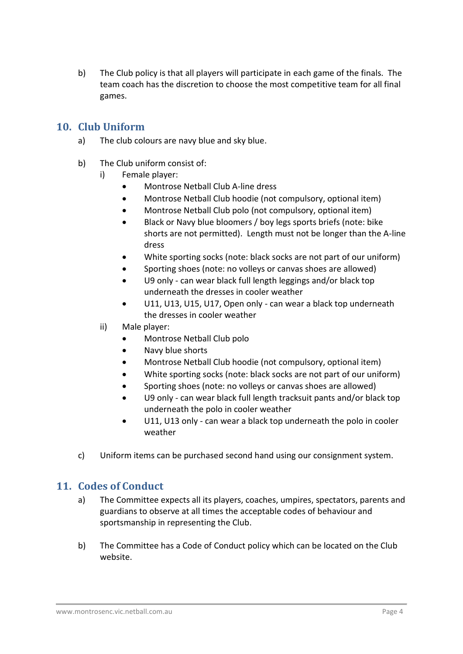b) The Club policy is that all players will participate in each game of the finals. The team coach has the discretion to choose the most competitive team for all final games.

## **10. Club Uniform**

- a) The club colours are navy blue and sky blue.
- b) The Club uniform consist of:
	- i) Female player:
		- Montrose Netball Club A-line dress
		- Montrose Netball Club hoodie (not compulsory, optional item)
		- Montrose Netball Club polo (not compulsory, optional item)
		- Black or Navy blue bloomers / boy legs sports briefs (note: bike shorts are not permitted). Length must not be longer than the A-line dress
		- White sporting socks (note: black socks are not part of our uniform)
		- Sporting shoes (note: no volleys or canvas shoes are allowed)
		- U9 only can wear black full length leggings and/or black top underneath the dresses in cooler weather
		- U11, U13, U15, U17, Open only can wear a black top underneath the dresses in cooler weather
	- ii) Male player:
		- Montrose Netball Club polo
		- Navy blue shorts
		- Montrose Netball Club hoodie (not compulsory, optional item)
		- White sporting socks (note: black socks are not part of our uniform)
		- Sporting shoes (note: no volleys or canvas shoes are allowed)
		- U9 only can wear black full length tracksuit pants and/or black top underneath the polo in cooler weather
		- U11, U13 only can wear a black top underneath the polo in cooler weather
- c) Uniform items can be purchased second hand using our consignment system.

## **11. Codes of Conduct**

- a) The Committee expects all its players, coaches, umpires, spectators, parents and guardians to observe at all times the acceptable codes of behaviour and sportsmanship in representing the Club.
- b) The Committee has a Code of Conduct policy which can be located on the Club website.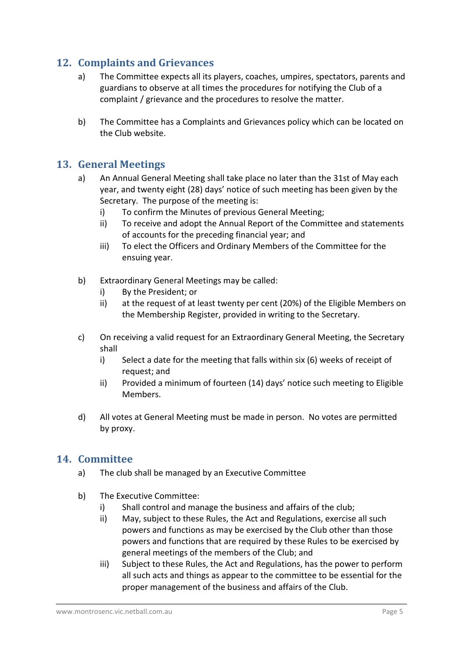# **12. Complaints and Grievances**

- a) The Committee expects all its players, coaches, umpires, spectators, parents and guardians to observe at all times the procedures for notifying the Club of a complaint / grievance and the procedures to resolve the matter.
- b) The Committee has a Complaints and Grievances policy which can be located on the Club website.

#### **13. General Meetings**

- a) An Annual General Meeting shall take place no later than the 31st of May each year, and twenty eight (28) days' notice of such meeting has been given by the Secretary. The purpose of the meeting is:
	- i) To confirm the Minutes of previous General Meeting;
	- ii) To receive and adopt the Annual Report of the Committee and statements of accounts for the preceding financial year; and
	- iii) To elect the Officers and Ordinary Members of the Committee for the ensuing year.
- b) Extraordinary General Meetings may be called:
	- i) By the President; or
	- ii) at the request of at least twenty per cent (20%) of the Eligible Members on the Membership Register, provided in writing to the Secretary.
- c) On receiving a valid request for an Extraordinary General Meeting, the Secretary shall
	- i) Select a date for the meeting that falls within six (6) weeks of receipt of request; and
	- ii) Provided a minimum of fourteen (14) days' notice such meeting to Eligible Members.
- d) All votes at General Meeting must be made in person. No votes are permitted by proxy.

#### **14. Committee**

- a) The club shall be managed by an Executive Committee
- b) The Executive Committee:
	- i) Shall control and manage the business and affairs of the club;
	- ii) May, subject to these Rules, the Act and Regulations, exercise all such powers and functions as may be exercised by the Club other than those powers and functions that are required by these Rules to be exercised by general meetings of the members of the Club; and
	- iii) Subject to these Rules, the Act and Regulations, has the power to perform all such acts and things as appear to the committee to be essential for the proper management of the business and affairs of the Club.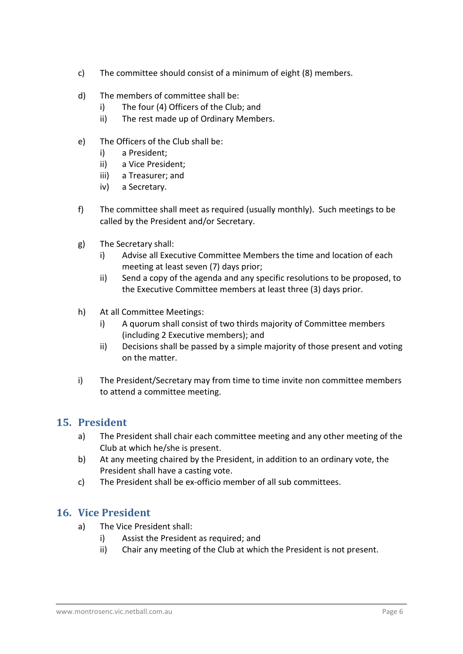- c) The committee should consist of a minimum of eight (8) members.
- d) The members of committee shall be:
	- i) The four (4) Officers of the Club; and
	- ii) The rest made up of Ordinary Members.
- e) The Officers of the Club shall be:
	- i) a President;
	- ii) a Vice President;
	- iii) a Treasurer; and
	- iv) a Secretary.
- f) The committee shall meet as required (usually monthly). Such meetings to be called by the President and/or Secretary.
- g) The Secretary shall:
	- i) Advise all Executive Committee Members the time and location of each meeting at least seven (7) days prior;
	- ii) Send a copy of the agenda and any specific resolutions to be proposed, to the Executive Committee members at least three (3) days prior.
- h) At all Committee Meetings:
	- i) A quorum shall consist of two thirds majority of Committee members (including 2 Executive members); and
	- ii) Decisions shall be passed by a simple majority of those present and voting on the matter.
- i) The President/Secretary may from time to time invite non committee members to attend a committee meeting.

## **15. President**

- a) The President shall chair each committee meeting and any other meeting of the Club at which he/she is present.
- b) At any meeting chaired by the President, in addition to an ordinary vote, the President shall have a casting vote.
- c) The President shall be ex-officio member of all sub committees.

## **16. Vice President**

- a) The Vice President shall:
	- i) Assist the President as required; and
	- ii) Chair any meeting of the Club at which the President is not present.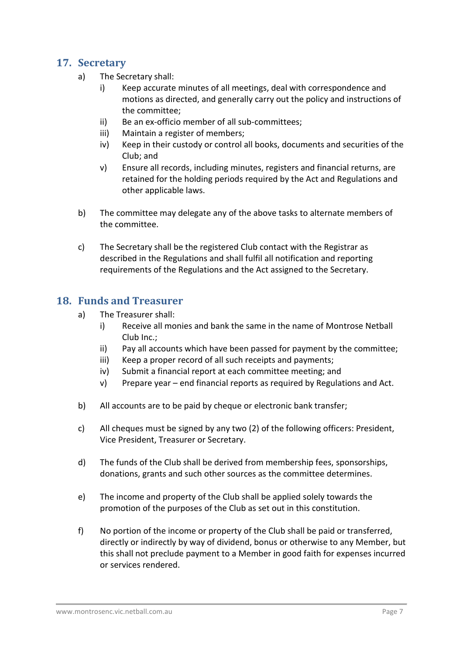#### **17. Secretary**

- a) The Secretary shall:
	- i) Keep accurate minutes of all meetings, deal with correspondence and motions as directed, and generally carry out the policy and instructions of the committee;
	- ii) Be an ex-officio member of all sub-committees;
	- iii) Maintain a register of members;
	- iv) Keep in their custody or control all books, documents and securities of the Club; and
	- v) Ensure all records, including minutes, registers and financial returns, are retained for the holding periods required by the Act and Regulations and other applicable laws.
- b) The committee may delegate any of the above tasks to alternate members of the committee.
- c) The Secretary shall be the registered Club contact with the Registrar as described in the Regulations and shall fulfil all notification and reporting requirements of the Regulations and the Act assigned to the Secretary.

#### **18. Funds and Treasurer**

- a) The Treasurer shall:
	- i) Receive all monies and bank the same in the name of Montrose Netball Club Inc.;
	- ii) Pay all accounts which have been passed for payment by the committee;
	- iii) Keep a proper record of all such receipts and payments;
	- iv) Submit a financial report at each committee meeting; and
	- v) Prepare year end financial reports as required by Regulations and Act.
- b) All accounts are to be paid by cheque or electronic bank transfer;
- c) All cheques must be signed by any two (2) of the following officers: President, Vice President, Treasurer or Secretary.
- d) The funds of the Club shall be derived from membership fees, sponsorships, donations, grants and such other sources as the committee determines.
- e) The income and property of the Club shall be applied solely towards the promotion of the purposes of the Club as set out in this constitution.
- f) No portion of the income or property of the Club shall be paid or transferred, directly or indirectly by way of dividend, bonus or otherwise to any Member, but this shall not preclude payment to a Member in good faith for expenses incurred or services rendered.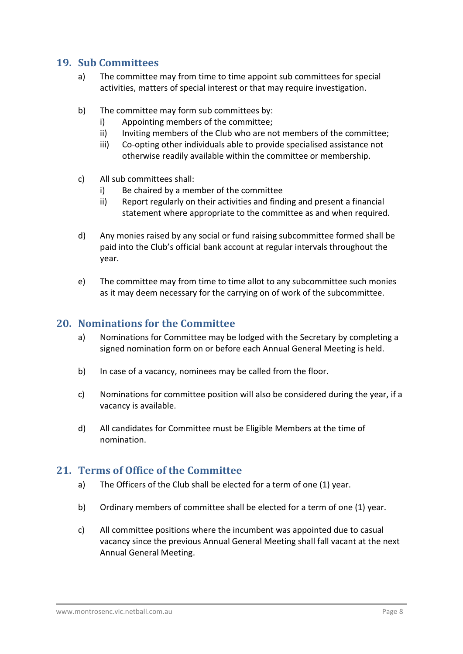#### **19. Sub Committees**

- a) The committee may from time to time appoint sub committees for special activities, matters of special interest or that may require investigation.
- b) The committee may form sub committees by:
	- i) Appointing members of the committee;
	- ii) Inviting members of the Club who are not members of the committee;
	- iii) Co-opting other individuals able to provide specialised assistance not otherwise readily available within the committee or membership.
- c) All sub committees shall:
	- i) Be chaired by a member of the committee
	- ii) Report regularly on their activities and finding and present a financial statement where appropriate to the committee as and when required.
- d) Any monies raised by any social or fund raising subcommittee formed shall be paid into the Club's official bank account at regular intervals throughout the year.
- e) The committee may from time to time allot to any subcommittee such monies as it may deem necessary for the carrying on of work of the subcommittee.

#### **20. Nominations for the Committee**

- a) Nominations for Committee may be lodged with the Secretary by completing a signed nomination form on or before each Annual General Meeting is held.
- b) In case of a vacancy, nominees may be called from the floor.
- c) Nominations for committee position will also be considered during the year, if a vacancy is available.
- d) All candidates for Committee must be Eligible Members at the time of nomination.

#### **21. Terms of Office of the Committee**

- a) The Officers of the Club shall be elected for a term of one (1) year.
- b) Ordinary members of committee shall be elected for a term of one (1) year.
- c) All committee positions where the incumbent was appointed due to casual vacancy since the previous Annual General Meeting shall fall vacant at the next Annual General Meeting.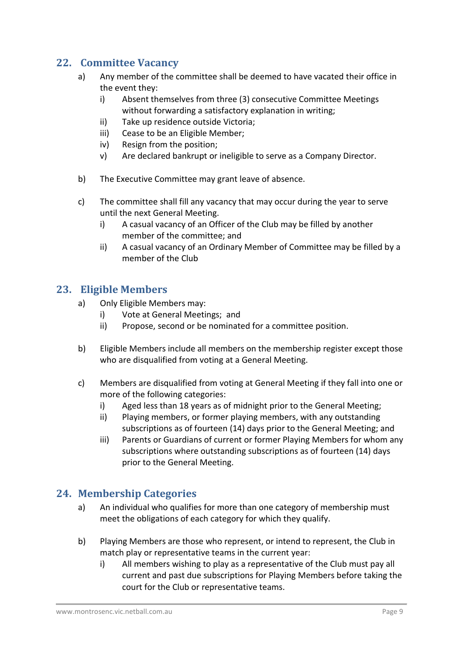# **22. Committee Vacancy**

- a) Any member of the committee shall be deemed to have vacated their office in the event they:
	- i) Absent themselves from three (3) consecutive Committee Meetings without forwarding a satisfactory explanation in writing;
	- ii) Take up residence outside Victoria;
	- iii) Cease to be an Eligible Member;
	- iv) Resign from the position;
	- v) Are declared bankrupt or ineligible to serve as a Company Director.
- b) The Executive Committee may grant leave of absence.
- c) The committee shall fill any vacancy that may occur during the year to serve until the next General Meeting.
	- i) A casual vacancy of an Officer of the Club may be filled by another member of the committee; and
	- ii) A casual vacancy of an Ordinary Member of Committee may be filled by a member of the Club

# **23. Eligible Members**

- a) Only Eligible Members may:
	- i) Vote at General Meetings; and
	- ii) Propose, second or be nominated for a committee position.
- b) Eligible Members include all members on the membership register except those who are disqualified from voting at a General Meeting.
- c) Members are disqualified from voting at General Meeting if they fall into one or more of the following categories:
	- i) Aged less than 18 years as of midnight prior to the General Meeting;
	- ii) Playing members, or former playing members, with any outstanding subscriptions as of fourteen (14) days prior to the General Meeting; and
	- iii) Parents or Guardians of current or former Playing Members for whom any subscriptions where outstanding subscriptions as of fourteen (14) days prior to the General Meeting.

# **24. Membership Categories**

- a) An individual who qualifies for more than one category of membership must meet the obligations of each category for which they qualify.
- b) Playing Members are those who represent, or intend to represent, the Club in match play or representative teams in the current year:
	- i) All members wishing to play as a representative of the Club must pay all current and past due subscriptions for Playing Members before taking the court for the Club or representative teams.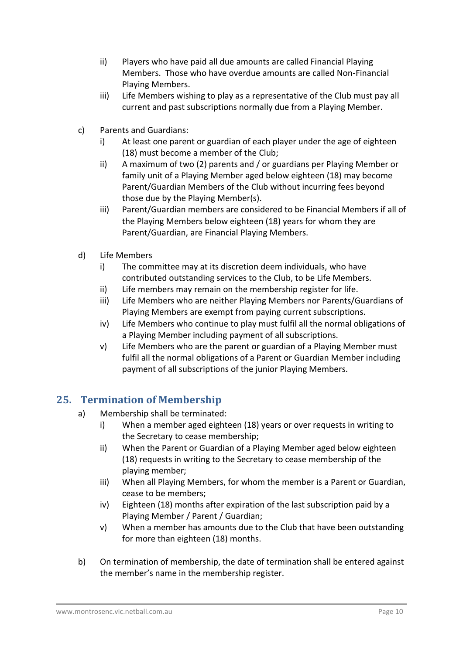- ii) Players who have paid all due amounts are called Financial Playing Members. Those who have overdue amounts are called Non-Financial Playing Members.
- iii) Life Members wishing to play as a representative of the Club must pay all current and past subscriptions normally due from a Playing Member.
- c) Parents and Guardians:
	- i) At least one parent or guardian of each player under the age of eighteen (18) must become a member of the Club;
	- ii) A maximum of two (2) parents and / or guardians per Playing Member or family unit of a Playing Member aged below eighteen (18) may become Parent/Guardian Members of the Club without incurring fees beyond those due by the Playing Member(s).
	- iii) Parent/Guardian members are considered to be Financial Members if all of the Playing Members below eighteen (18) years for whom they are Parent/Guardian, are Financial Playing Members.
- d) Life Members
	- i) The committee may at its discretion deem individuals, who have contributed outstanding services to the Club, to be Life Members.
	- ii) Life members may remain on the membership register for life.
	- iii) Life Members who are neither Playing Members nor Parents/Guardians of Playing Members are exempt from paying current subscriptions.
	- iv) Life Members who continue to play must fulfil all the normal obligations of a Playing Member including payment of all subscriptions.
	- v) Life Members who are the parent or guardian of a Playing Member must fulfil all the normal obligations of a Parent or Guardian Member including payment of all subscriptions of the junior Playing Members.

# **25. Termination of Membership**

- a) Membership shall be terminated:
	- i) When a member aged eighteen (18) years or over requests in writing to the Secretary to cease membership;
	- ii) When the Parent or Guardian of a Playing Member aged below eighteen (18) requests in writing to the Secretary to cease membership of the playing member;
	- iii) When all Playing Members, for whom the member is a Parent or Guardian, cease to be members;
	- iv) Eighteen (18) months after expiration of the last subscription paid by a Playing Member / Parent / Guardian;
	- v) When a member has amounts due to the Club that have been outstanding for more than eighteen (18) months.
- b) On termination of membership, the date of termination shall be entered against the member's name in the membership register.